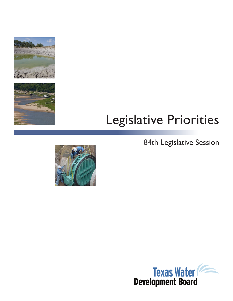



# Legislative Priorities

## 84th Legislative Session



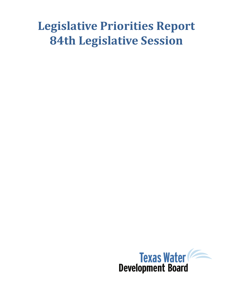## **Legislative Priorities Report 84th Legislative Session**

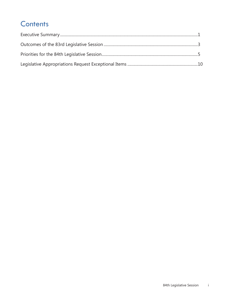## **Contents**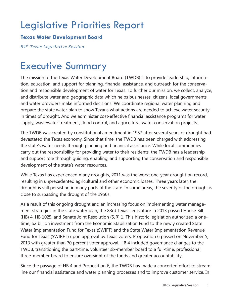## Legislative Priorities Report

#### **Texas Water Development Board**

*84th Texas Legislative Session*

## Executive Summary

The mission of the Texas Water Development Board (TWDB) is to provide leadership, information, education, and support for planning, financial assistance, and outreach for the conservation and responsible development of water for Texas. To further our mission, we collect, analyze, and distribute water and geographic data which helps businesses, citizens, local governments, and water providers make informed decisions. We coordinate regional water planning and prepare the state water plan to show Texans what actions are needed to achieve water security in times of drought. And we administer cost-effective financial assistance programs for water supply, wastewater treatment, flood control, and agricultural water conservation projects.

The TWDB was created by constitutional amendment in 1957 after several years of drought had devastated the Texas economy. Since that time, the TWDB has been charged with addressing the state's water needs through planning and financial assistance. While local communities carry out the responsibility for providing water to their residents, the TWDB has a leadership and support role through guiding, enabling, and supporting the conservation and responsible development of the state's water resources.

While Texas has experienced many droughts, 2011 was the worst one-year drought on record, resulting in unprecedented agricultural and other economic losses. Three years later, the drought is still persisting in many parts of the state. In some areas, the severity of the drought is close to surpassing the drought of the 1950s.

As a result of this ongoing drought and an increasing focus on implementing water management strategies in the state water plan, the 83rd Texas Legislature in 2013 passed House Bill (HB) 4, HB 1025, and Senate Joint Resolution (SJR) 1. This historic legislation authorized a onetime, \$2 billion investment from the Economic Stabilization Fund to the newly created State Water Implementation Fund for Texas (SWIFT) and the State Water Implementation Revenue Fund for Texas (SWIRFT) upon approval by Texas voters. Proposition 6 passed on November 5, 2013 with greater than 70 percent voter approval. HB 4 included governance changes to the TWDB, transitioning the part-time, volunteer six-member board to a full-time, professional, three-member board to ensure oversight of the funds and greater accountability.

Since the passage of HB 4 and Proposition 6, the TWDB has made a concerted effort to streamline our financial assistance and water planning processes and to improve customer service. In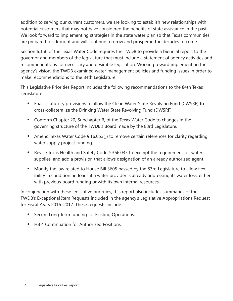addition to serving our current customers, we are looking to establish new relationships with potential customers that may not have considered the benefits of state assistance in the past. We look forward to implementing strategies in the state water plan so that Texas communities are prepared for drought and will continue to grow and prosper in the decades to come.

Section 6.156 of the Texas Water Code requires the TWDB to provide a biennial report to the governor and members of the legislature that must include a statement of agency activities and recommendations for necessary and desirable legislation. Working toward implementing the agency's vision, the TWDB examined water management policies and funding issues in order to make recommendations to the 84th Legislature.

This Legislative Priorities Report includes the following recommendations to the 84th Texas Legislature:

- **•** Enact statutory provisions to allow the Clean Water State Revolving Fund (CWSRF) to cross-collateralize the Drinking Water State Revolving Fund (DWSRF).
- **•** Conform Chapter 20, Subchapter B, of the Texas Water Code to changes in the governing structure of the TWDB's Board made by the 83rd Legislature.
- **•** Amend Texas Water Code § 16.053(j) to remove certain references for clarity regarding water supply project funding.
- **•** Revise Texas Health and Safety Code § 366.035 to exempt the requirement for water supplies, and add a provision that allows designation of an already authorized agent.
- **•** Modify the law related to House Bill 3605 passed by the 83rd Legislature to allow flexibility in conditioning loans if a water provider is already addressing its water loss, either with previous board funding or with its own internal resources.

In conjunction with these legislative priorities, this report also includes summaries of the TWDB's Exceptional Item Requests included in the agency's Legislative Appropriations Request for Fiscal Years 2016–2017. These requests include:

- **•** Secure Long Term funding for Existing Operations.
- **•** HB 4 Continuation for Authorized Positions.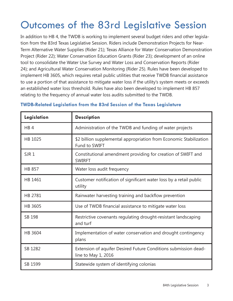## Outcomes of the 83rd Legislative Session

In addition to HB 4, the TWDB is working to implement several budget riders and other legislation from the 83rd Texas Legislative Session. Riders include Demonstration Projects for Near-Term Alternative Water Supplies (Rider 21); Texas Alliance for Water Conservation Demonstration Project (Rider 22); Water Conservation Education Grants (Rider 23); development of an online tool to consolidate the Water Use Survey and Water Loss and Conservation Reports (Rider 24); and Agricultural Water Conservation Monitoring (Rider 25). Rules have been developed to implement HB 3605, which requires retail public utilities that receive TWDB financial assistance to use a portion of that assistance to mitigate water loss if the utility's system meets or exceeds an established water loss threshold. Rules have also been developed to implement HB 857 relating to the frequency of annual water loss audits submitted to the TWDB.

| Legislation      | <b>Description</b>                                                                     |
|------------------|----------------------------------------------------------------------------------------|
| HB4              | Administration of the TWDB and funding of water projects                               |
| HB 1025          | \$2 billion supplemental appropriation from Economic Stabilization<br>Fund to SWIFT    |
| SJR <sub>1</sub> | Constitutional amendment providing for creation of SWIFT and<br><b>SWIRFT</b>          |
| <b>HB 857</b>    | Water loss audit frequency                                                             |
| HB 1461          | Customer notification of significant water loss by a retail public<br>utility          |
| HB 2781          | Rainwater harvesting training and backflow prevention                                  |
| HB 3605          | Use of TWDB financial assistance to mitigate water loss                                |
| SB 198           | Restrictive covenants regulating drought-resistant landscaping<br>and turf             |
| HB 3604          | Implementation of water conservation and drought contingency<br>plans                  |
| SB 1282          | Extension of aquifer Desired Future Conditions submission dead-<br>line to May 1, 2016 |
| SB 1599          | Statewide system of identifying colonias                                               |

#### **TWDB-Related Legislation from the 83rd Session of the Texas Legislature**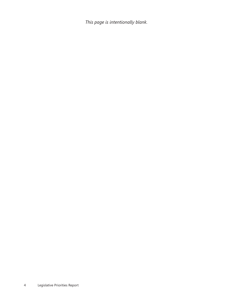*This page is intentionally blank.*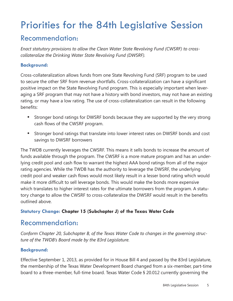## Priorities for the 84th Legislative Session

### Recommendation:

*Enact statutory provisions to allow the Clean Water State Revolving Fund (CWSRF) to crosscollateralize the Drinking Water State Revolving Fund (DWSRF).*

#### **Background:**

Cross-collateralization allows funds from one State Revolving Fund (SRF) program to be used to secure the other SRF from revenue shortfalls. Cross-collateralization can have a significant positive impact on the State Revolving Fund program. This is especially important when leveraging a SRF program that may not have a history with bond investors, may not have an existing rating, or may have a low rating. The use of cross-collateralization can result in the following benefits:

- **•** Stronger bond ratings for DWSRF bonds because they are supported by the very strong cash flows of the CWSRF program.
- **•** Stronger bond ratings that translate into lower interest rates on DWSRF bonds and cost savings to DWSRF borrowers

The TWDB currently leverages the CWSRF. This means it sells bonds to increase the amount of funds available through the program. The CWSRF is a more mature program and has an underlying credit pool and cash flow to warrant the highest AAA bond ratings from all of the major rating agencies. While the TWDB has the authority to leverage the DWSRF, the underlying credit pool and weaker cash flows would most likely result in a lesser bond rating which would make it more difficult to sell leverage bonds. This would make the bonds more expensive which translates to higher interest rates for the ultimate borrowers from the program. A statutory change to allow the CWSRF to cross-collateralize the DWSRF would result in the benefits outlined above.

#### **Statutory Change: Chapter 15 (Subchapter J) of the Texas Water Code**

### Recommendation:

*Conform Chapter 20, Subchapter B, of the Texas Water Code to changes in the governing structure of the TWDB's Board made by the 83rd Legislature.*

#### **Background:**

Effective September 1, 2013, as provided for in House Bill 4 and passed by the 83rd Legislature, the membership of the Texas Water Development Board changed from a six-member, part-time board to a three-member, full-time board. Texas Water Code § 20.012 currently governing the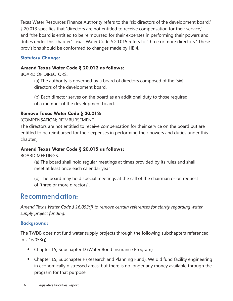Texas Water Resources Finance Authority refers to the "six directors of the development board." § 20.013 specifies that "directors are not entitled to receive compensation for their service," and "the board is entitled to be reimbursed for their expenses in performing their powers and duties under this chapter." Texas Water Code § 20.015 refers to "three or more directors." These provisions should be conformed to changes made by HB 4.

#### **Statutory Change:**

#### **Amend Texas Water Code § 20.012 as follows:**

BOARD OF DIRECTORS.

(a) The authority is governed by a board of directors composed of the [six] directors of the development board.

(b) Each director serves on the board as an additional duty to those required of a member of the development board.

#### **Remove Texas Water Code § 20.013:**

[COMPENSATION; REIMBURSEMENT.

The directors are not entitled to receive compensation for their service on the board but are entitled to be reimbursed for their expenses in performing their powers and duties under this chapter.]

#### **Amend Texas Water Code § 20.015 as follows:**

BOARD MEETINGS.

(a) The board shall hold regular meetings at times provided by its rules and shall meet at least once each calendar year.

(b) The board may hold special meetings at the call of the chairman or on request of [three or more directors].

### Recommendation:

*Amend Texas Water Code § 16.053(j) to remove certain references for clarity regarding water supply project funding.*

#### **Background:**

The TWDB does not fund water supply projects through the following subchapters referenced in § 16.053(j):

- **•** Chapter 15, Subchapter D (Water Bond Insurance Program).
- **•** Chapter 15, Subchapter F (Research and Planning Fund). We did fund facility engineering in economically distressed areas; but there is no longer any money available through the program for that purpose.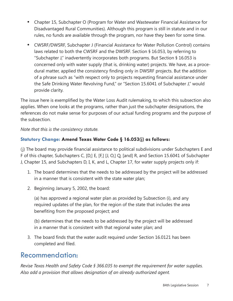- **•** Chapter 15, Subchapter O (Program for Water and Wastewater Financial Assistance for Disadvantaged Rural Communities). Although this program is still in statute and in our rules, no funds are available through the program, nor have they been for some time.
- **•** CWSRF/DWSRF, Subchapter J (Financial Assistance for Water Pollution Control) contains laws related to both the CWSRF and the DWSRF. Section § 16.053, by referring to "Subchapter J," inadvertently incorporates both programs. But Section § 16.053 is concerned only with water supply (that is, drinking water) projects. We have, as a procedural matter, applied the consistency finding only in DWSRF projects. But the addition of a phrase such as "with respect only to projects requesting financial assistance under the Safe Drinking Water Revolving Fund," or "Section 15.6041 of Subchapter J," would provide clarity.

The issue here is exemplified by the Water Loss Audit rulemaking, to which this subsection also applies. When one looks at the programs, rather than just the subchapter designations, the references do not make sense for purposes of our actual funding programs and the purpose of the subsection.

*Note that this is the consistency statute.*

#### **Statutory Change: Amend Texas Water Code § 16.053(j) as follows:**

(j) The board may provide financial assistance to political subdivisions under Subchapters E and F of this chapter, Subchapters C, [D,] E, [F,] [J, O,] Q, [and] R, and Section 15.6041 of Subchapter J, Chapter 15, and Subchapters D, I, K, and L, Chapter 17, for water supply projects only if:

- 1. The board determines that the needs to be addressed by the project will be addressed in a manner that is consistent with the state water plan;
- 2. Beginning January 5, 2002, the board:

(a) has approved a regional water plan as provided by Subsection (i), and any required updates of the plan, for the region of the state that includes the area benefiting from the proposed project; and

(b) determines that the needs to be addressed by the project will be addressed in a manner that is consistent with that regional water plan; and

3. The board finds that the water audit required under Section 16.0121 has been completed and filed.

### Recommendation:

*Revise Texas Health and Safety Code § 366.035 to exempt the requirement for water supplies. Also add a provision that allows designation of an already authorized agent.*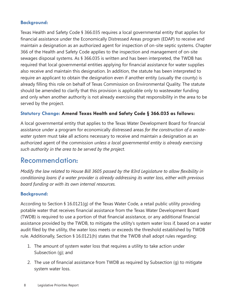#### **Background:**

Texas Health and Safety Code § 366.035 requires a local governmental entity that applies for financial assistance under the Economically Distressed Areas program (EDAP) to receive and maintain a designation as an authorized agent for inspection of on-site septic systems. Chapter 366 of the Health and Safety Code applies to the inspection and management of on-site sewages disposal systems. As § 366.035 is written and has been interpreted, the TWDB has required that local governmental entities applying for financial assistance for water supplies also receive and maintain this designation. In addition, the statute has been interpreted to require an applicant to obtain the designation even if another entity (usually the county) is already filling this role on behalf of Texas Commission on Environmental Quality. The statute should be amended to clarify that this provision is applicable only to wastewater funding and only when another authority is not already exercising that responsibility in the area to be served by the project.

#### **Statutory Change: Amend Texas Health and Safety Code § 366.035 as follows:**

A local governmental entity that applies to the Texas Water Development Board for financial assistance under a program for economically distressed areas *for the construction of a wastewater system* must take all actions necessary to receive and maintain a designation as an authorized agent of the commission *unless a local governmental entity is already exercising such authority in the area to be served by the project*.

### Recommendation:

*Modify the law related to House Bill 3605 passed by the 83rd Legislature to allow flexibility in conditioning loans if a water provider is already addressing its water loss, either with previous board funding or with its own internal resources.*

#### **Background:**

According to Section § 16.0121(g) of the Texas Water Code, a retail public utility providing potable water that receives financial assistance from the Texas Water Development Board (TWDB) is required to use a portion of that financial assistance, or any additional financial assistance provided by the TWDB, to mitigate the utility's system water loss if, based on a water audit filed by the utility, the water loss meets or exceeds the threshold established by TWDB rule. Additionally, Section § 16.0121(h) states that the TWDB shall adopt rules regarding:

- 1. The amount of system water loss that requires a utility to take action under Subsection (g); and
- 2. The use of financial assistance from TWDB as required by Subsection (g) to mitigate system water loss.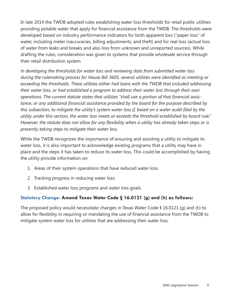In late 2014 the TWDB adopted rules establishing water loss thresholds for retail public utilities providing potable water that apply for financial assistance from the TWDB. The thresholds were developed based on industry performance indicators for both apparent loss ("paper loss" of water, including meter inaccuracies, billing adjustments, and theft) and for real loss (actual loss of water from leaks and breaks and also loss from unknown and unreported sources). While drafting the rules, consideration was given to systems that provide wholesale service through their retail distribution system.

*In developing the thresholds for water loss and reviewing data from submitted water loss during the rulemaking process for House Bill 3605, several utilities were identified as meeting or exceeding the thresholds. These utilities either had loans with the TWDB that included addressing their water loss, or had established a program to address their water loss through their own operations. The current statute states that utilities "shall use a portion of that financial assistance, or any additional financial assistance provided by the board for the purpose described by this subsection, to mitigate the utility's system water loss if, based on a water audit filed by the utility under this section, the water loss meets or exceeds the threshold established by board rule." However, the statute does not allow for any flexibility when a utility has already taken steps or is presently taking steps to mitigate their water loss.*

While the TWDB recognizes the importance of ensuring and assisting a utility to mitigate its water loss, it is also important to acknowledge existing programs that a utility may have in place and the steps it has taken to reduce its water loss. This could be accomplished by having the utility provide information on:

- 1. Areas of their system operations that have reduced water loss.
- 2. Tracking progress in reducing water loss.
- 3. Established water loss programs and water loss goals.

#### **Statutory Change: Amend Texas Water Code § 16.0121 (g) and (h) as follows:**

The proposed policy would necessitate changes in Texas Water Code § 16.0121 (g) and (h) to allow for flexibility in requiring or mandating the use of financial assistance from the TWDB to mitigate system water loss for utilities that are addressing their water loss.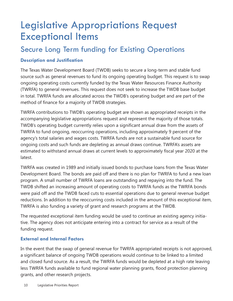## Legislative Appropriations Request Exceptional Items

### Secure Long Term funding for Existing Operations

#### **Description and Justification**

The Texas Water Development Board (TWDB) seeks to secure a long-term and stable fund source such as general revenues to fund its ongoing operating budget. This request is to swap ongoing operating costs currently funded by the Texas Water Resources Finance Authority (TWRFA) to general revenues. This request does not seek to increase the TWDB base budget in total. TWRFA funds are allocated across the TWDB's operating budget and are part of the method of finance for a majority of TWDB strategies.

TWRFA contributions to TWDB's operating budget are shown as appropriated receipts in the accompanying legislative appropriations request and represent the majority of those totals. TWDB's operating budget currently relies upon a significant annual draw from the assets of TWRFA to fund ongoing, reoccurring operations, including approximately 9 percent of the agency's total salaries and wages costs. TWRFA funds are not a sustainable fund source for ongoing costs and such funds are depleting as annual draws continue. TWRFA's assets are estimated to withstand annual draws at current levels to approximately fiscal year 2020 at the latest.

TWRFA was created in 1989 and initially issued bonds to purchase loans from the Texas Water Development Board. The bonds are paid off and there is no plan for TWRFA to fund a new loan program. A small number of TWRFA loans are outstanding and repaying into the fund. The TWDB shifted an increasing amount of operating costs to TWRFA funds as the TWRFA bonds were paid off and the TWDB faced cuts to essential operations due to general revenue budget reductions. In addition to the reoccurring costs included in the amount of this exceptional item, TWRFA is also funding a variety of grant and research programs at the TWDB.

The requested exceptional item funding would be used to continue an existing agency initiative. The agency does not anticipate entering into a contract for service as a result of the funding request.

#### **External and Internal Factors**

In the event that the swap of general revenue for TWRFA appropriated receipts is not approved, a significant balance of ongoing TWDB operations would continue to be linked to a limited and closed fund source. As a result, the TWRFA funds would be depleted at a high rate leaving less TWRFA funds available to fund regional water planning grants, flood protection planning grants, and other research projects.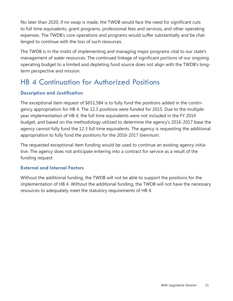No later than 2020, if no swap is made, the TWDB would face the need for significant cuts to full time equivalents, grant programs, professional fees and services, and other operating expenses. The TWDB's core operations and programs would suffer substantially and be challenged to continue with the loss of such resources.

The TWDB is in the midst of implementing and managing major programs vital to our state's management of water resources. The continued linkage of significant portions of our ongoing operating budget to a limited and depleting fund source does not align with the TWDB's longterm perspective and mission.

## HB 4 Continuation for Authorized Positions

#### **Description and Justification**

The exceptional item request of \$651,584 is to fully fund the positions added in the contingency appropriation for HB 4. The 12.3 positions were funded for 2015. Due to the multipleyear implementation of HB 4, the full time equivalents were not included in the FY 2014 budget, and based on the methodology utilized to determine the agency's 2016-2017 base the agency cannot fully fund the 12.3 full time equivalents. The agency is requesting the additional appropriation to fully fund the positions for the 2016-2017 biennium.

The requested exceptional item funding would be used to continue an existing agency initiative. The agency does not anticipate entering into a contract for service as a result of the funding request.

#### **External and Internal Factors**

Without the additional funding, the TWDB will not be able to support the positions for the implementation of HB 4. Without the additional funding, the TWDB will not have the necessary resources to adequately meet the statutory requirements of HB 4.